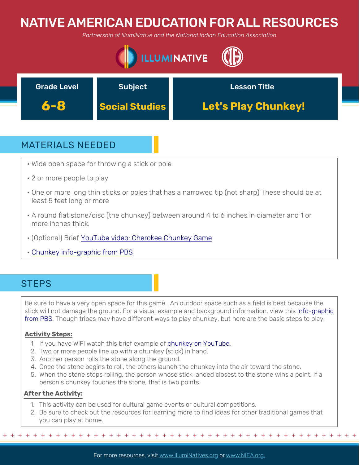# NATIVE AMERICAN EDUCATION FOR ALL RESOURCES

*Partnership of IllumiNative and the National Indian Education Association*





## MATERIALS NEEDED

- Wide open space for throwing a stick or pole
- 2 or more people to play
- One or more long thin sticks or poles that has a narrowed tip (not sharp) These should be at least 5 feet long or more
- A round flat stone/disc (the chunkey) between around 4 to 6 inches in diameter and 1 or more inches thick.
- (Optional) Brief [YouTube video: Cherokee Chunkey Game](https://www.youtube.com/watch?v=EIGDAaYwsYY)
- C[hunkey info-graphic from PBS](https://www.pbs.org/native-america/extras/chunkey/)

## **STEPS**

Be sure to have a very open space for this game. An outdoor space such as a field is best because the [stick will not damage the ground. For a visual example and background information, view this info-graphic](https://www.pbs.org/native-america/extras/chunkey/) from PBS. Though tribes may have different ways to play chunkey, but here are the basic steps to play:

### **Activity Steps:**

- 1. If you have WiFi watch this brief example of [chunkey on YouTube.](https://www.youtube.com/watch?v=EIGDAaYwsYY)
- 2. Two or more people line up with a chunkey (stick) in hand.
- 3. Another person rolls the stone along the ground.
- 4. Once the stone begins to roll, the others launch the chunkey into the air toward the stone.
- 5. When the stone stops rolling, the person whose stick landed closest to the stone wins a point. If a person's chunkey touches the stone, that is two points.

### **After the Activity:**

- 1. This activity can be used for cultural game events or cultural competitions.
- 2. Be sure to check out the resources for learning more to find ideas for other traditional games that you can play at home.

+ + + + + + + + + + + + + + + + + + + + + + + + + + + + + + + + + + + + + + + + + + + + + + + +